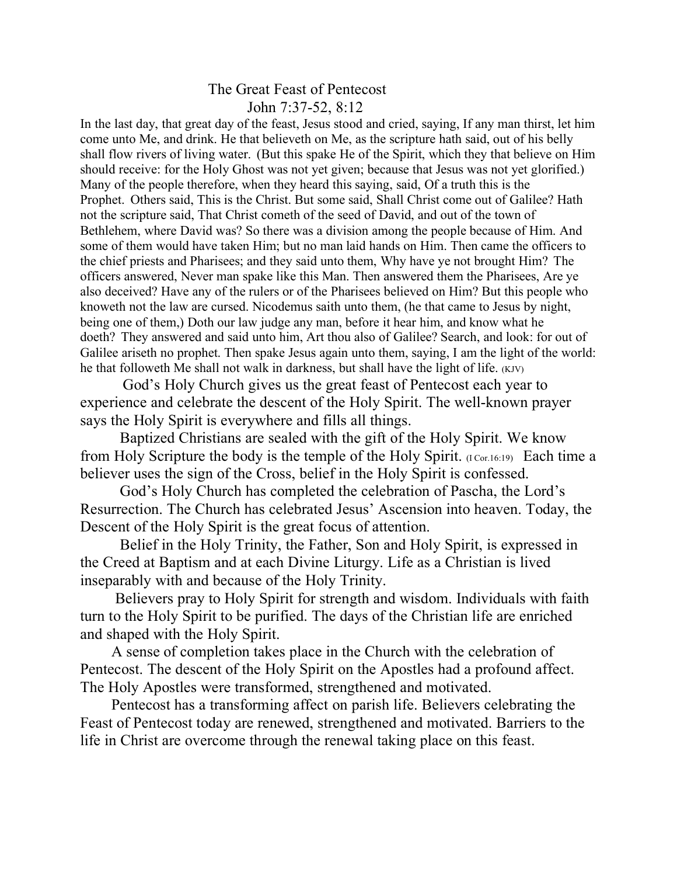## The Great Feast of Pentecost John 7:37-52, 8:12

In the last day, that great day of the feast, Jesus stood and cried, saying, If any man thirst, let him come unto Me, and drink. He that believeth on Me, as the scripture hath said, out of his belly shall flow rivers of living water. (But this spake He of the Spirit, which they that believe on Him should receive: for the Holy Ghost was not yet given; because that Jesus was not yet glorified.) Many of the people therefore, when they heard this saying, said, Of a truth this is the Prophet. Others said, This is the Christ. But some said, Shall Christ come out of Galilee? Hath not the scripture said, That Christ cometh of the seed of David, and out of the town of Bethlehem, where David was? So there was a division among the people because of Him. And some of them would have taken Him; but no man laid hands on Him. Then came the officers to the chief priests and Pharisees; and they said unto them, Why have ye not brought Him? The officers answered, Never man spake like this Man. Then answered them the Pharisees, Are ye also deceived? Have any of the rulers or of the Pharisees believed on Him? But this people who knoweth not the law are cursed. Nicodemus saith unto them, (he that came to Jesus by night, being one of them,) Doth our law judge any man, before it hear him, and know what he doeth? They answered and said unto him, Art thou also of Galilee? Search, and look: for out of Galilee ariseth no prophet. Then spake Jesus again unto them, saying, I am the light of the world: he that followeth Me shall not walk in darkness, but shall have the light of life. (KJV)

 God's Holy Church gives us the great feast of Pentecost each year to experience and celebrate the descent of the Holy Spirit. The well-known prayer says the Holy Spirit is everywhere and fills all things.

Baptized Christians are sealed with the gift of the Holy Spirit. We know from Holy Scripture the body is the temple of the Holy Spirit. (I Cor.16:19) Each time a believer uses the sign of the Cross, belief in the Holy Spirit is confessed.

God's Holy Church has completed the celebration of Pascha, the Lord's Resurrection. The Church has celebrated Jesus' Ascension into heaven. Today, the Descent of the Holy Spirit is the great focus of attention.

Belief in the Holy Trinity, the Father, Son and Holy Spirit, is expressed in the Creed at Baptism and at each Divine Liturgy. Life as a Christian is lived inseparably with and because of the Holy Trinity.

 Believers pray to Holy Spirit for strength and wisdom. Individuals with faith turn to the Holy Spirit to be purified. The days of the Christian life are enriched and shaped with the Holy Spirit.

 A sense of completion takes place in the Church with the celebration of Pentecost. The descent of the Holy Spirit on the Apostles had a profound affect. The Holy Apostles were transformed, strengthened and motivated.

 Pentecost has a transforming affect on parish life. Believers celebrating the Feast of Pentecost today are renewed, strengthened and motivated. Barriers to the life in Christ are overcome through the renewal taking place on this feast.